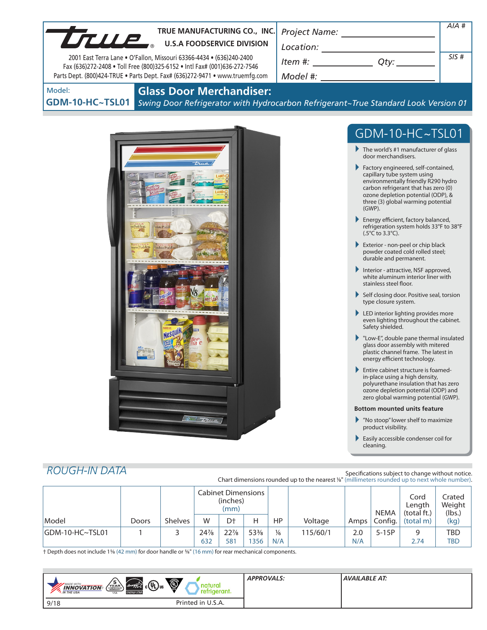| TRUE MANUFACTURING CO., INC.<br><b>UTILLE</b><br><b>U.S.A FOODSERVICE DIVISION</b><br>2001 East Terra Lane . O'Fallon, Missouri 63366-4434 . (636)240-2400<br>Fax (636)272-2408 . Toll Free (800)325-6152 . Intl Fax# (001)636-272-7546<br>Parts Dept. (800)424-TRUE . Parts Dept. Fax# (636)272-9471 . www.truemfg.com | $Item #: __________ Qty: __________$                                                                                                                                                                                                                                                                                                                                                                                                                                                                                                                                                                                                                                                                                                                                                                                                                                                                                                                                                                                                                                                                                                                                                                                                                                                                                                                                                                                                                                                        | $AIA$ #<br>SIS# |
|-------------------------------------------------------------------------------------------------------------------------------------------------------------------------------------------------------------------------------------------------------------------------------------------------------------------------|---------------------------------------------------------------------------------------------------------------------------------------------------------------------------------------------------------------------------------------------------------------------------------------------------------------------------------------------------------------------------------------------------------------------------------------------------------------------------------------------------------------------------------------------------------------------------------------------------------------------------------------------------------------------------------------------------------------------------------------------------------------------------------------------------------------------------------------------------------------------------------------------------------------------------------------------------------------------------------------------------------------------------------------------------------------------------------------------------------------------------------------------------------------------------------------------------------------------------------------------------------------------------------------------------------------------------------------------------------------------------------------------------------------------------------------------------------------------------------------------|-----------------|
| <b>Glass Door Merchandiser:</b><br>Model:<br><b>GDM-10-HC~TSL01</b><br>slate Pudd<br>a Pudding<br>na Pudding<br><b>volate Puddin</b><br>10 True                                                                                                                                                                         | Swing Door Refrigerator with Hydrocarbon Refrigerant~True Standard Look Version 01<br>GDM-10-HC~TSL01<br>$\blacktriangleright$ The world's #1 manufacturer of glass<br>door merchandisers.<br>Factory engineered, self-contained,<br>capillary tube system using<br>environmentally friendly R290 hydro<br>carbon refrigerant that has zero (0)<br>ozone depletion potential (ODP), &<br>three (3) global warming potential<br>$(GWP)$ .<br>Energy efficient, factory balanced,<br>refrigeration system holds 33°F to 38°F<br>$(.5^{\circ}C$ to 3.3 $^{\circ}C$ ).<br>Exterior - non-peel or chip black<br>powder coated cold rolled steel;<br>durable and permanent.<br>Interior - attractive, NSF approved,<br>white aluminum interior liner with<br>stainless steel floor.<br>Self closing door. Positive seal, torsion<br>type closure system.<br>LED interior lighting provides more<br>even lighting throughout the cabinet.<br>Safety shielded.<br>Low-E", double pane thermal insulated<br>glass door assembly with mitered<br>plastic channel frame. The latest in<br>energy efficient technology.<br>Entire cabinet structure is foamed-<br>in-place using a high density,<br>polyurethane insulation that has zero<br>ozone depletion potential (ODP) and<br>zero global warming potential (GWP).<br><b>Bottom mounted units feature</b><br>$\blacktriangleright$ "No stoop" lower shelf to maximize<br>product visibility.<br>Easily accessible condenser coil for<br>cleaning. |                 |

# *ROUGH-IN DATA*

Specifications subject to change without notice. Chart dimensions rounded up to the nearest <sup>1</sup>/8" (millimeters rounded up to next whole number).

|                  |       |                | <b>Cabinet Dimensions</b><br>(inches)<br>(mm) |                 |                 |               |          | <b>NEMA</b> | Cord<br>Length<br>(total ft.) | Crated<br>Weight<br>(lbs.) |            |
|------------------|-------|----------------|-----------------------------------------------|-----------------|-----------------|---------------|----------|-------------|-------------------------------|----------------------------|------------|
| Model            | Doors | <b>Shelves</b> | W                                             | D <sup>+</sup>  | н               | <b>HP</b>     | Voltage  | Amps        | Config.                       | (total m)                  | (kg)       |
| IGDM-10-HC~TSL01 |       |                | 24%                                           | $22\frac{7}{8}$ | $53\frac{3}{8}$ | $\frac{1}{6}$ | 115/60/1 | 2.0         | $5-15P$                       | q                          | <b>TBD</b> |
|                  |       |                | 632                                           | 581             | 356             | N/A           |          | N/A         |                               | 2.74                       | <b>TBD</b> |

† Depth does not include 15/8 (42 mm) for door handle or 5/8" (16 mm) for rear mechanical components.

| $\ddot{\textcircled{1}}$<br>$\sqrt{\frac{5}{2}}$<br>$\left(\ell_{\text{avg}}\right)_{\text{C}}\left(\Psi_{\text{L}}\right)_{\text{US}}$<br><b>MADE WITH</b><br><b>INNOVATION</b><br>gerant.<br><b>ENERGY STAR</b><br>*. IN THE USA<br><b>USA</b> | <b>APPROVALS:</b> | AVAILABLE AT: |
|--------------------------------------------------------------------------------------------------------------------------------------------------------------------------------------------------------------------------------------------------|-------------------|---------------|
| Printed in U.S.A.<br>9/18                                                                                                                                                                                                                        |                   |               |